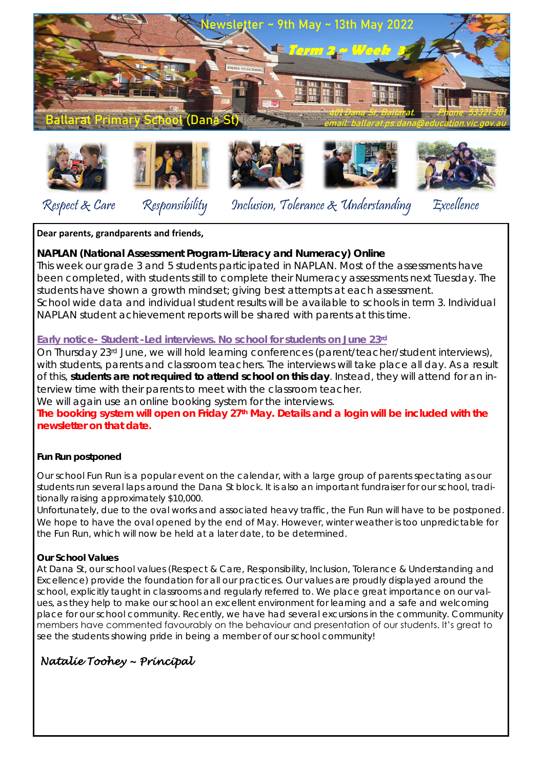



Respect & Care Responsibility Inclusion, Tolerance & Understanding Excellence

## **Dear parents, grandparents and friends,**

**NAPLAN (National Assessment Program-Literacy and Numeracy) Online** This week our grade 3 and 5 students participated in NAPLAN. Most of the assessments have been completed, with students still to complete their Numeracy assessments next Tuesday. The students have shown a growth mindset; giving best attempts at each assessment. School wide data and individual student results will be available to schools in term 3. Individual NAPLAN student achievement reports will be shared with parents at this time.

## **Early notice- Student -Led interviews. No school for students on June 23rd**

On Thursday 23rd June, we will hold learning conferences (parent/teacher/student interviews), with students, parents and classroom teachers. The interviews will take place all day. As a result of this, **students are not required to attend school on this day**. Instead, they will attend for an interview time with their parents to meet with the classroom teacher.

We will again use an online booking system for the interviews.

**The booking system will open on Friday 27th May. Details and a login will be included with the newsletter on that date.**

**Fun Run postponed**

Our school Fun Run is a popular event on the calendar, with a large group of parents spectating as our students run several laps around the Dana St block. It is also an important fundraiser for our school, traditionally raising approximately \$10,000.

Unfortunately, due to the oval works and associated heavy traffic, the Fun Run will have to be postponed. We hope to have the oval opened by the end of May. However, winter weather is too unpredictable for the Fun Run, which will now be held at a later date, to be determined.

## **Our School Values**

At Dana St, our school values (Respect & Care, Responsibility, Inclusion, Tolerance & Understanding and Excellence) provide the foundation for all our practices. Our values are proudly displayed around the school, explicitly taught in classrooms and regularly referred to. We place great importance on our values, as they help to make our school an excellent environment for learning and a safe and welcoming place for our school community. Recently, we have had several excursions in the community. Community members have commented favourably on the behaviour and presentation of our students. It's great to see the students showing pride in being a member of our school community!

## *Natalie Toohey ~ Principal*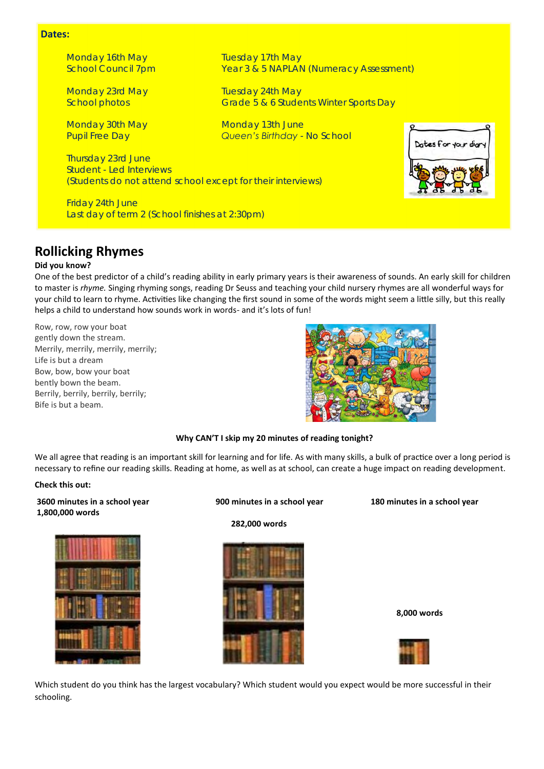#### **Dates:**

*Monday 16th May Tuesday 17th May School Council 7pm Year 3 & 5 NAPLAN (Numeracy Assessment)*

*Monday 23rd May Tuesday 24th May School photos Grade 5 & 6 Students Winter Sports Day*

*Monday 30th May Monday 13th June Pupil Free Day Queen's Birthday - No School*

*Thursday 23rd June Student - Led Interviews (Students do not attend school except for their interviews)*

*Friday 24th June Last day of term 2 (School finishes at 2:30pm)*

## **Rollicking Rhymes**

#### **Did you know?**

One of the best predictor of a child's reading ability in early primary years is their awareness of sounds. An early skill for children to master is *rhyme.* Singing rhyming songs, reading Dr Seuss and teaching your child nursery rhymes are all wonderful ways for your child to learn to rhyme. Activities like changing the first sound in some of the words might seem a little silly, but this really helps a child to understand how sounds work in words- and it's lots of fun!

Row, row, row your boat gently down the stream. Merrily, merrily, merrily, merrily; Life is but a dream Bow, bow, bow your boat bently bown the beam. Berrily, berrily, berrily, berrily; Bife is but a beam.



### **Why CAN'T I skip my 20 minutes of reading tonight?**

We all agree that reading is an important skill for learning and for life. As with many skills, a bulk of practice over a long period is necessary to refine our reading skills. Reading at home, as well as at school, can create a huge impact on reading development.

#### **Check this out:**

**3600 minutes in a school year 900 minutes in a school year 180 minutes in a school year 1,800,000 words**



 **282,000 words**



 **8,000 words**



Which student do you think has the largest vocabulary? Which student would you expect would be more successful in their schooling.

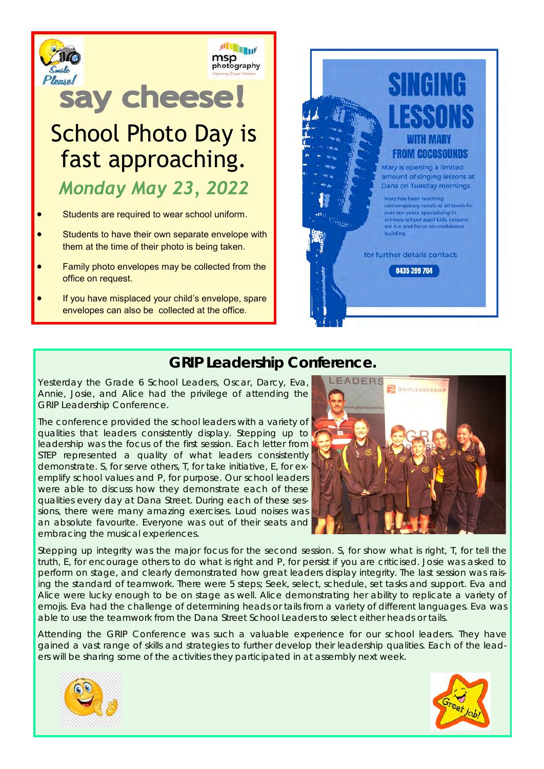

If you have misplaced your child's envelope, spare envelopes can also be collected at the office.

# **GRIP Leadership Conference.**

Yesterday the Grade 6 School Leaders, Oscar, Darcy, Eva, Annie, Josie, and Alice had the privilege of attending the GRIP Leadership Conference.

The conference provided the school leaders with a variety of qualities that leaders consistently display. Stepping up to leadership was the focus of the first session. Each letter from STEP represented a quality of what leaders consistently demonstrate. S, for serve others, T, for take initiative, E, for exemplify school values and P, for purpose. Our school leaders were able to discuss how they demonstrate each of these qualities every day at Dana Street. During each of these sessions, there were many amazing exercises. Loud noises was an absolute favourite. Everyone was out of their seats and embracing the musical experiences.



Stepping up integrity was the major focus for the second session. S, for show what is right, T, for tell the truth, E, for encourage others to do what is right and P, for persist if you are criticised. Josie was asked to perform on stage, and clearly demonstrated how great leaders display integrity. The last session was raising the standard of teamwork. There were 5 steps; Seek, select, schedule, set tasks and support. Eva and Alice were lucky enough to be on stage as well. Alice demonstrating her ability to replicate a variety of emojis. Eva had the challenge of determining heads or tails from a variety of different languages. Eva was able to use the teamwork from the Dana Street School Leaders to select either heads or tails.

Attending the GRIP Conference was such a valuable experience for our school leaders. They have gained a vast range of skills and strategies to further develop their leadership qualities. Each of the leaders will be sharing some of the activities they participated in at assembly next week.